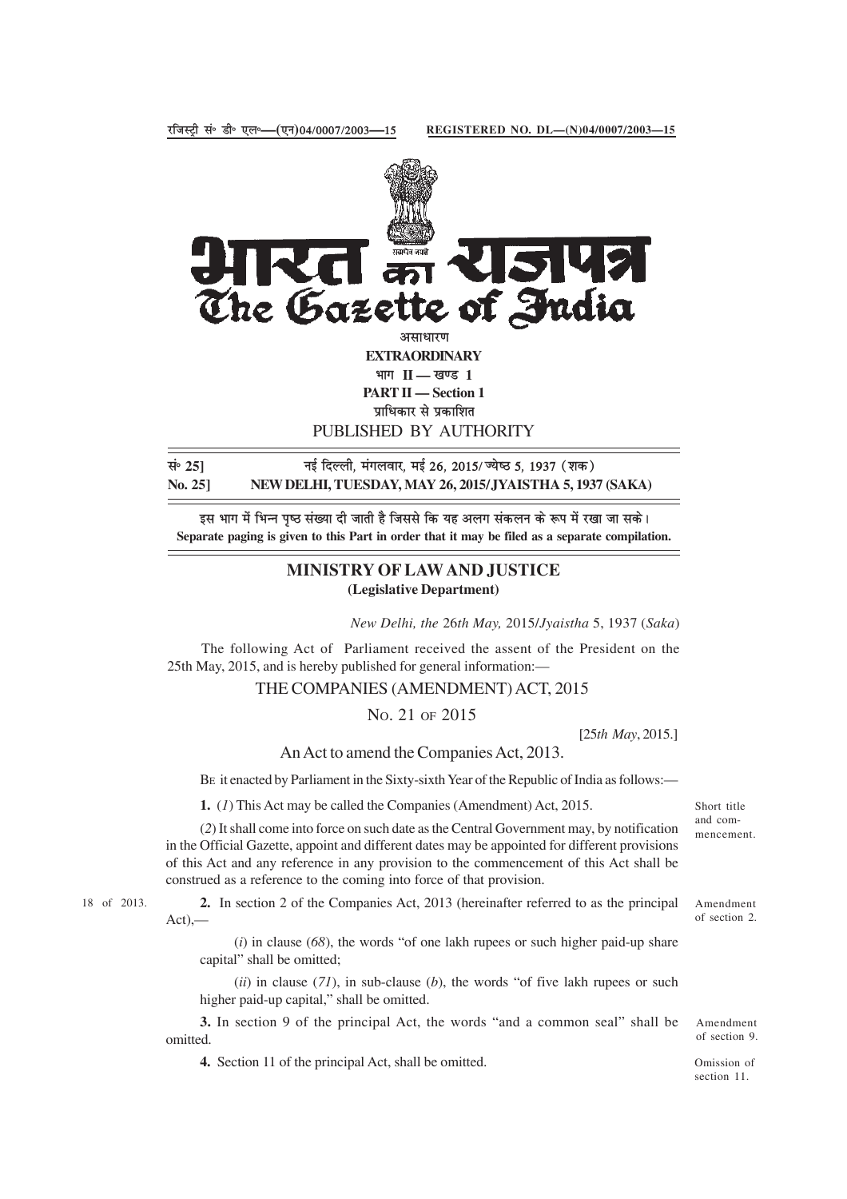

**EXTRAORDINARY** भाग II — खण्ड 1 **PART II — Section 1**

प्राधिकार से प्रकाशित

PUBLISHED BY AUTHORITY

सं<sup>5</sup> 25] बाई दिल्ली, मंगलवार, मई 26, 2015/ज्येष्ठ 5, 1937 (शक) **No. 25] NEW DELHI, TUESDAY, MAY 26, 2015/JYAISTHA 5, 1937 (SAKA)**

इस भाग में भिन्न पृष्ठ संख्या दी जाती है जिससे कि यह अलग संकलन के रूप में रखा जा सके। **Separate paging is given to this Part in order that it may be filed as a separate compilation.**

## **MINISTRY OF LAW AND JUSTICE (Legislative Department)**

*New Delhi, the* 26*th May,* 2015/*Jyaistha* 5, 1937 (*Saka*)

The following Act of Parliament received the assent of the President on the 25th May, 2015, and is hereby published for general information:—

## THE COMPANIES (AMENDMENT) ACT, 2015

NO. 21 OF 2015

[25*th May*, 2015.]

An Act to amend the Companies Act, 2013.

BE it enacted by Parliament in the Sixty-sixth Year of the Republic of India as follows:—

**1.** (*1*) This Act may be called the Companies (Amendment) Act, 2015.

Short title and commencement.

of section 2.

(*2*) It shall come into force on such date as the Central Government may, by notification in the Official Gazette, appoint and different dates may be appointed for different provisions of this Act and any reference in any provision to the commencement of this Act shall be construed as a reference to the coming into force of that provision.

18 of 2013. **2.** In section 2 of the Companies Act, 2013 (hereinafter referred to as the principal Amendment  $Act)$ ,—

> (*i*) in clause (*68*), the words "of one lakh rupees or such higher paid-up share capital" shall be omitted;

> (*ii*) in clause (*71*), in sub-clause (*b*), the words "of five lakh rupees or such higher paid-up capital," shall be omitted.

**3.** In section 9 of the principal Act, the words "and a common seal" shall be omitted.

**4.** Section 11 of the principal Act, shall be omitted.

Amendment of section 9.

Omission of section 11.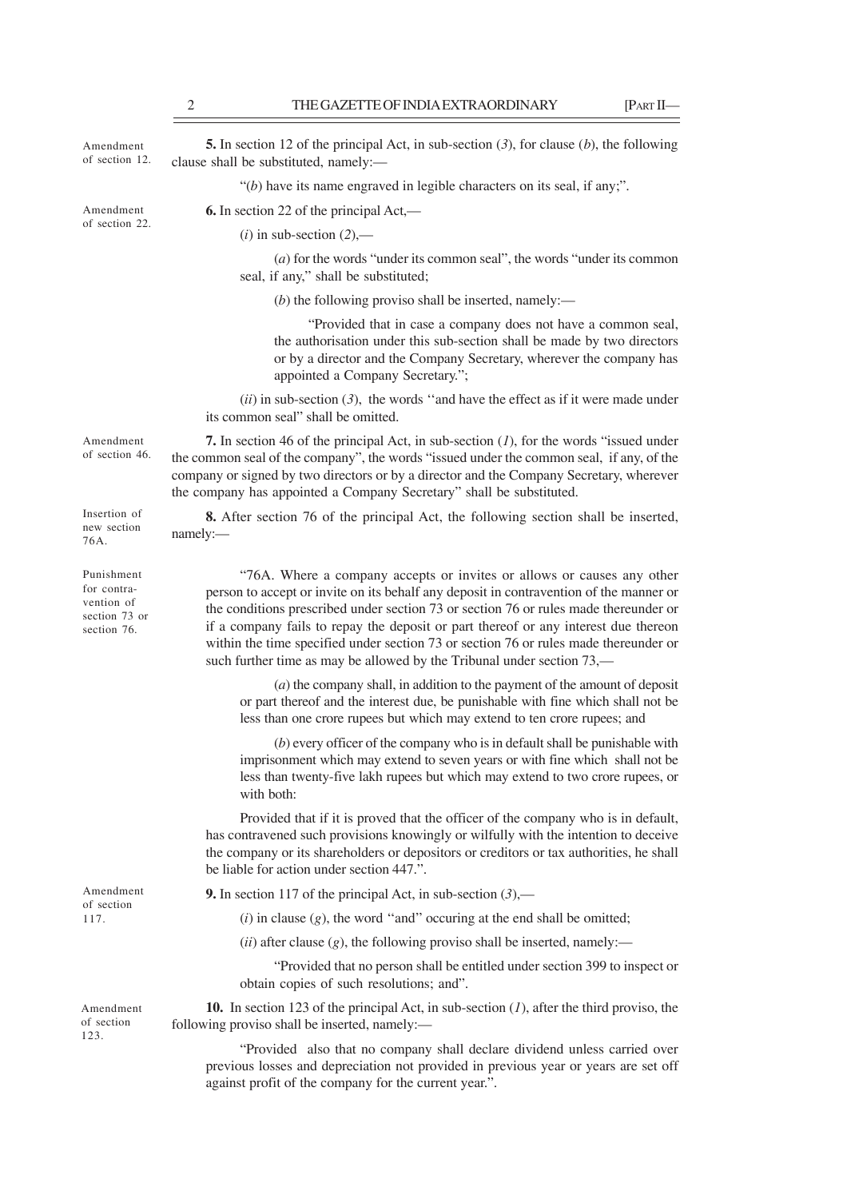| Amendment<br>of section 12.                                             | <b>5.</b> In section 12 of the principal Act, in sub-section $(3)$ , for clause $(b)$ , the following<br>clause shall be substituted, namely:-                                                                                                                                                                                                                                                                                                                                                                    |
|-------------------------------------------------------------------------|-------------------------------------------------------------------------------------------------------------------------------------------------------------------------------------------------------------------------------------------------------------------------------------------------------------------------------------------------------------------------------------------------------------------------------------------------------------------------------------------------------------------|
|                                                                         | " $(b)$ have its name engraved in legible characters on its seal, if any;".                                                                                                                                                                                                                                                                                                                                                                                                                                       |
| Amendment<br>of section 22.                                             | <b>6.</b> In section 22 of the principal $Act$ ,—                                                                                                                                                                                                                                                                                                                                                                                                                                                                 |
|                                                                         | $(i)$ in sub-section $(2)$ ,—                                                                                                                                                                                                                                                                                                                                                                                                                                                                                     |
|                                                                         | $(a)$ for the words "under its common seal", the words "under its common<br>seal, if any," shall be substituted;                                                                                                                                                                                                                                                                                                                                                                                                  |
|                                                                         | $(b)$ the following proviso shall be inserted, namely:—                                                                                                                                                                                                                                                                                                                                                                                                                                                           |
|                                                                         | "Provided that in case a company does not have a common seal,<br>the authorisation under this sub-section shall be made by two directors<br>or by a director and the Company Secretary, wherever the company has<br>appointed a Company Secretary.";                                                                                                                                                                                                                                                              |
|                                                                         | $(ii)$ in sub-section (3), the words "and have the effect as if it were made under<br>its common seal" shall be omitted.                                                                                                                                                                                                                                                                                                                                                                                          |
| Amendment<br>of section 46.                                             | 7. In section 46 of the principal Act, in sub-section $(1)$ , for the words "issued under<br>the common seal of the company", the words "issued under the common seal, if any, of the<br>company or signed by two directors or by a director and the Company Secretary, wherever<br>the company has appointed a Company Secretary" shall be substituted.                                                                                                                                                          |
| Insertion of<br>new section<br>76A.                                     | <b>8.</b> After section 76 of the principal Act, the following section shall be inserted,<br>namely:-                                                                                                                                                                                                                                                                                                                                                                                                             |
| Punishment<br>for contra-<br>vention of<br>section 73 or<br>section 76. | "76A. Where a company accepts or invites or allows or causes any other<br>person to accept or invite on its behalf any deposit in contravention of the manner or<br>the conditions prescribed under section 73 or section 76 or rules made thereunder or<br>if a company fails to repay the deposit or part thereof or any interest due thereon<br>within the time specified under section 73 or section 76 or rules made thereunder or<br>such further time as may be allowed by the Tribunal under section 73,— |
|                                                                         | $(a)$ the company shall, in addition to the payment of the amount of deposit<br>or part thereof and the interest due, be punishable with fine which shall not be<br>less than one crore rupees but which may extend to ten crore rupees; and                                                                                                                                                                                                                                                                      |
|                                                                         | $(b)$ every officer of the company who is in default shall be punishable with<br>imprisonment which may extend to seven years or with fine which shall not be<br>less than twenty-five lakh rupees but which may extend to two crore rupees, or<br>with both:                                                                                                                                                                                                                                                     |
|                                                                         | Provided that if it is proved that the officer of the company who is in default,<br>has contravened such provisions knowingly or wilfully with the intention to deceive<br>the company or its shareholders or depositors or creditors or tax authorities, he shall<br>be liable for action under section 447.".                                                                                                                                                                                                   |
| Amendment<br>of section<br>117.                                         | <b>9.</b> In section 117 of the principal Act, in sub-section $(3)$ ,—                                                                                                                                                                                                                                                                                                                                                                                                                                            |
|                                                                         | $(i)$ in clause $(g)$ , the word "and" occuring at the end shall be omitted;                                                                                                                                                                                                                                                                                                                                                                                                                                      |
|                                                                         | $(ii)$ after clause $(g)$ , the following proviso shall be inserted, namely:—                                                                                                                                                                                                                                                                                                                                                                                                                                     |
|                                                                         | "Provided that no person shall be entitled under section 399 to inspect or<br>obtain copies of such resolutions; and".                                                                                                                                                                                                                                                                                                                                                                                            |
| Amendment<br>of section<br>123.                                         | 10. In section 123 of the principal Act, in sub-section $(I)$ , after the third proviso, the<br>following proviso shall be inserted, namely:-                                                                                                                                                                                                                                                                                                                                                                     |
|                                                                         | "Provided also that no company shall declare dividend unless carried over<br>previous losses and depreciation not provided in previous year or years are set off                                                                                                                                                                                                                                                                                                                                                  |

against profit of the company for the current year.".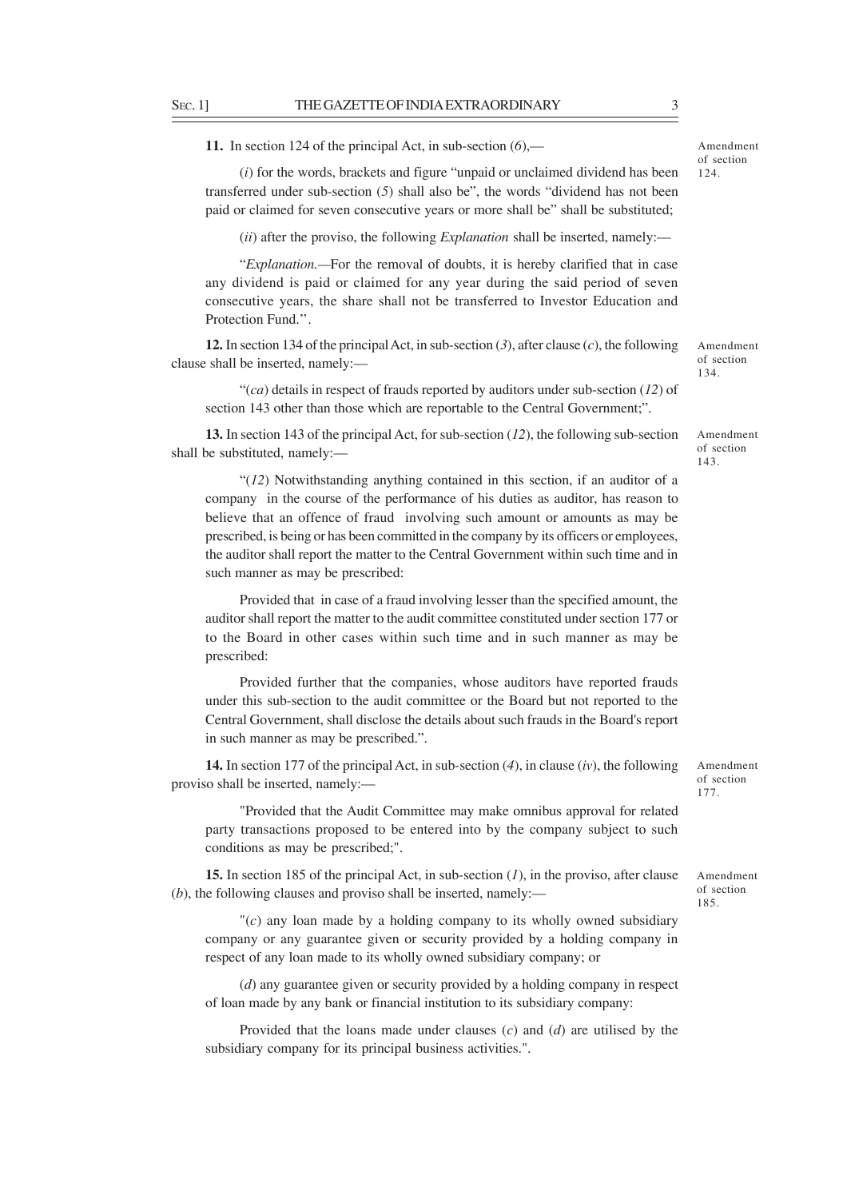**11.** In section 124 of the principal Act, in sub-section (*6*),—

(*i*) for the words, brackets and figure "unpaid or unclaimed dividend has been transferred under sub-section (*5*) shall also be", the words "dividend has not been paid or claimed for seven consecutive years or more shall be" shall be substituted;

(*ii*) after the proviso, the following *Explanation* shall be inserted, namely:—

"*Explanation.—*For the removal of doubts, it is hereby clarified that in case any dividend is paid or claimed for any year during the said period of seven consecutive years, the share shall not be transferred to Investor Education and Protection Fund.''.

**12.** In section 134 of the principal Act, in sub-section (*3*), after clause (*c*), the following clause shall be inserted, namely:—

"(*ca*) details in respect of frauds reported by auditors under sub-section (*12*) of section 143 other than those which are reportable to the Central Government;".

**13.** In section 143 of the principal Act, for sub-section (*12*), the following sub-section shall be substituted, namely:—

"(*12*) Notwithstanding anything contained in this section, if an auditor of a company in the course of the performance of his duties as auditor, has reason to believe that an offence of fraud involving such amount or amounts as may be prescribed, is being or has been committed in the company by its officers or employees, the auditor shall report the matter to the Central Government within such time and in such manner as may be prescribed:

Provided that in case of a fraud involving lesser than the specified amount, the auditor shall report the matter to the audit committee constituted under section 177 or to the Board in other cases within such time and in such manner as may be prescribed:

Provided further that the companies, whose auditors have reported frauds under this sub-section to the audit committee or the Board but not reported to the Central Government, shall disclose the details about such frauds in the Board's report in such manner as may be prescribed.".

**14.** In section 177 of the principal Act, in sub-section (*4*), in clause (*iv*), the following proviso shall be inserted, namely:—

"Provided that the Audit Committee may make omnibus approval for related party transactions proposed to be entered into by the company subject to such conditions as may be prescribed;".

**15.** In section 185 of the principal Act, in sub-section (*1*), in the proviso, after clause (*b*), the following clauses and proviso shall be inserted, namely:—

 $\Gamma(c)$  any loan made by a holding company to its wholly owned subsidiary company or any guarantee given or security provided by a holding company in respect of any loan made to its wholly owned subsidiary company; or

(*d*) any guarantee given or security provided by a holding company in respect of loan made by any bank or financial institution to its subsidiary company:

Provided that the loans made under clauses (*c*) and (*d*) are utilised by the subsidiary company for its principal business activities.".

Amendment of section 177.

Amendment of section 185.

Amendment

Amendment of section 134.

of section 143.

Amendment of section

124.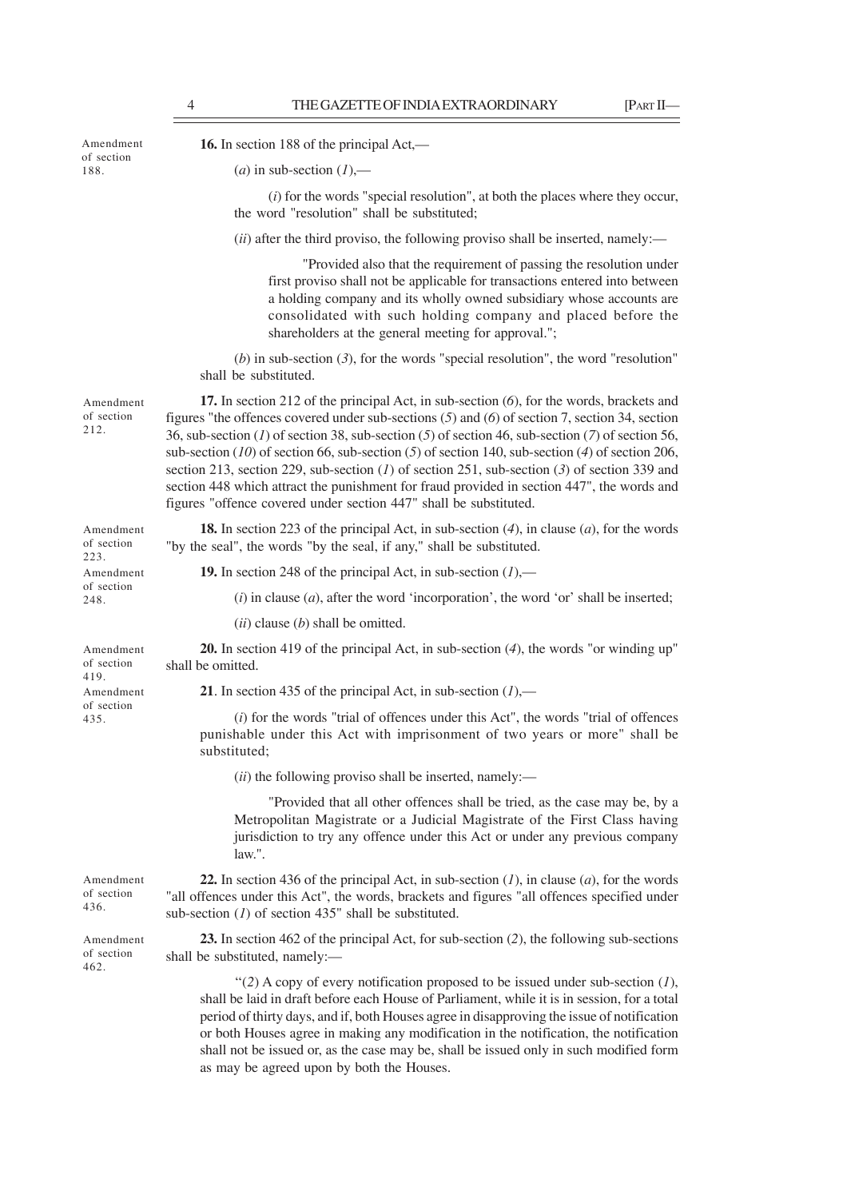**16.** In section 188 of the principal Act,—  $(a)$  in sub-section  $(I)$ ,— (*i*) for the words "special resolution", at both the places where they occur, the word "resolution" shall be substituted; (*ii*) after the third proviso, the following proviso shall be inserted, namely:— "Provided also that the requirement of passing the resolution under first proviso shall not be applicable for transactions entered into between a holding company and its wholly owned subsidiary whose accounts are consolidated with such holding company and placed before the shareholders at the general meeting for approval."; (*b*) in sub-section (*3*), for the words "special resolution", the word "resolution" shall be substituted. **17.** In section 212 of the principal Act, in sub-section (*6*), for the words, brackets and figures "the offences covered under sub-sections (*5*) and (*6*) of section 7, section 34, section 36, sub-section (*1*) of section 38, sub-section (*5*) of section 46, sub-section (*7*) of section 56, sub-section (*10*) of section 66, sub-section (*5*) of section 140, sub-section (*4*) of section 206, section 213, section 229, sub-section (*1*) of section 251, sub-section (*3*) of section 339 and section 448 which attract the punishment for fraud provided in section 447", the words and figures "offence covered under section 447" shall be substituted. **18.** In section 223 of the principal Act, in sub-section (*4*), in clause (*a*), for the words "by the seal", the words "by the seal, if any," shall be substituted. **19.** In section 248 of the principal Act, in sub-section (*1*),— (*i*) in clause (*a*), after the word 'incorporation', the word 'or' shall be inserted; (*ii*) clause (*b*) shall be omitted. **20.** In section 419 of the principal Act, in sub-section (*4*), the words "or winding up" shall be omitted. **21**. In section 435 of the principal Act, in sub-section (*1*),— (*i*) for the words "trial of offences under this Act", the words "trial of offences punishable under this Act with imprisonment of two years or more" shall be substituted; (*ii*) the following proviso shall be inserted, namely:— "Provided that all other offences shall be tried, as the case may be, by a Metropolitan Magistrate or a Judicial Magistrate of the First Class having jurisdiction to try any offence under this Act or under any previous company law.". **22.** In section 436 of the principal Act, in sub-section (*1*), in clause (*a*), for the words "all offences under this Act", the words, brackets and figures "all offences specified under sub-section (*1*) of section 435" shall be substituted. **23.** In section 462 of the principal Act, for sub-section (*2*), the following sub-sections shall be substituted, namely:— ''(*2*) A copy of every notification proposed to be issued under sub-section (*1*), shall be laid in draft before each House of Parliament, while it is in session, for a total period of thirty days, and if, both Houses agree in disapproving the issue of notification or both Houses agree in making any modification in the notification, the notification shall not be issued or, as the case may be, shall be issued only in such modified form Amendment of section 212. Amendment of section 223. Amendment of section 419. Amendment of section 435. Amendment of section 436. Amendment of section 188. Amendment of section 248. Amendment of section 462.

as may be agreed upon by both the Houses.